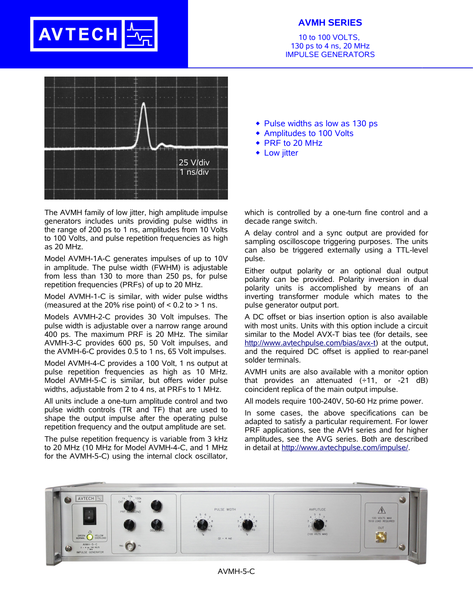## **AVTECH**

## **AVMH SERIES**

10 to 100 VOLTS, 130 ps to 4 ns, 20 MHz IMPULSE GENERATORS



The AVMH family of low jitter, high amplitude impulse generators includes units providing pulse widths in the range of 200 ps to 1 ns, amplitudes from 10 Volts to 100 Volts, and pulse repetition frequencies as high as 20 MHz.

Model AVMH-1A-C generates impulses of up to 10V in amplitude. The pulse width (FWHM) is adjustable from less than 130 to more than 250 ps, for pulse repetition frequencies (PRFs) of up to 20 MHz.

Model AVMH-1-C is similar, with wider pulse widths (measured at the 20% rise point) of  $< 0.2$  to  $> 1$  ns.

Models AVMH-2-C provides 30 Volt impulses. The pulse width is adjustable over a narrow range around 400 ps. The maximum PRF is 20 MHz. The similar AVMH-3-C provides 600 ps, 50 Volt impulses, and the AVMH-6-C provides 0.5 to 1 ns, 65 Volt impulses.

Model AVMH-4-C provides a 100 Volt, 1 ns output at pulse repetition frequencies as high as 10 MHz. Model AVMH-5-C is similar, but offers wider pulse widths, adjustable from 2 to 4 ns, at PRFs to 1 MHz.

All units include a one-turn amplitude control and two pulse width controls (TR and TF) that are used to shape the output impulse after the operating pulse repetition frequency and the output amplitude are set.

The pulse repetition frequency is variable from 3 kHz to 20 MHz (10 MHz for Model AVMH-4-C, and 1 MHz for the AVMH-5-C) using the internal clock oscillator,

- $\bullet$  Pulse widths as low as 130 ps
- Amplitudes to 100 Volts
- ◆ PRF to 20 MHz
- Low jitter

which is controlled by a one-turn fine control and a decade range switch.

A delay control and a sync output are provided for sampling oscilloscope triggering purposes. The units can also be triggered externally using a TTL-level pulse.

Either output polarity or an optional dual output polarity can be provided. Polarity inversion in dual polarity units is accomplished by means of an inverting transformer module which mates to the pulse generator output port.

A DC offset or bias insertion option is also available with most units. Units with this option include a circuit similar to the Model AVX-T bias tee (for details, see http://www.avtechpulse.com/bias/avx-t) at the output, and the required DC offset is applied to rear-panel solder terminals.

AVMH units are also available with a monitor option that provides an attenuated  $(\div 11, \text{ or } -21 \text{ dB})$ coincident replica of the main output impulse.

All models require 100-240V, 50-60 Hz prime power.

In some cases, the above specifications can be adapted to satisfy a particular requirement. For lower PRF applications, see the AVH series and for higher amplitudes, see the AVG series. Both are described in detail at http://www.avtechpulse.com/impulse/.